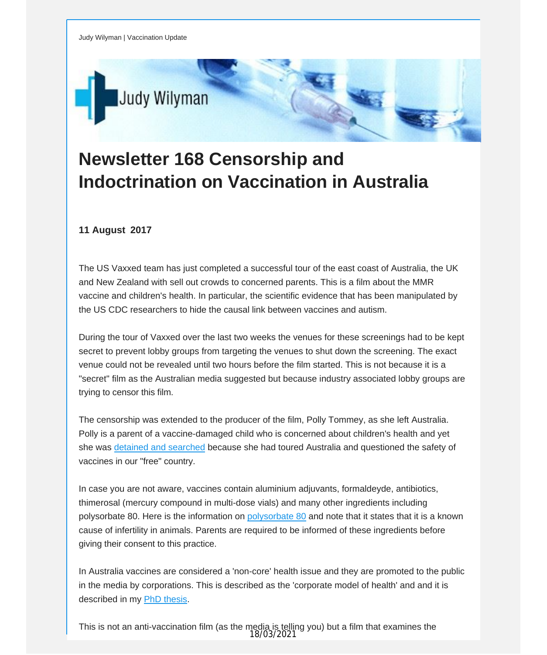

## **Newsletter 168 Censorship and Indoctrination on Vaccination in Australia**

## **11 August 2017**

The US Vaxxed team has just completed a successful tour of the east coast of Australia, the UK and New Zealand with sell out crowds to concerned parents. This is a film about the MMR vaccine and children's health. In particular, the scientific evidence that has been manipulated by the US CDC researchers to hide the causal link between vaccines and autism.

During the tour of Vaxxed over the last two weeks the venues for these screenings had to be kept secret to prevent lobby groups from targeting the venues to shut down the screening. The exact venue could not be revealed until two hours before the film started. This is not because it is a "secret" film as the Australian media suggested but because industry associated lobby groups are trying to censor this film.

The censorship was extended to the producer of the film, Polly Tommey, as she left Australia. Polly is a parent of a vaccine-damaged child who is concerned about children's health and yet she was detained and [searched](http://vaccinationdecisions.us8.list-manage1.com/track/click?u=f20605fde3732e41929f4a3f2&id=50487a7c8c&e=fec8337d3c) because she had toured Australia and questioned the safety of vaccines in our "free" country.

In case you are not aware, vaccines contain aluminium adjuvants, formaldeyde, antibiotics, thimerosal (mercury compound in multi-dose vials) and many other ingredients including polysorbate 80. Here is the information on [polysorbate](http://vaccinationdecisions.us8.list-manage2.com/track/click?u=f20605fde3732e41929f4a3f2&id=bcbd7f3217&e=fec8337d3c) 80 and note that it states that it is a known cause of infertility in animals. Parents are required to be informed of these ingredients before giving their consent to this practice.

In Australia vaccines are considered a 'non-core' health issue and they are promoted to the public in the media by corporations. This is described as the 'corporate model of health' and and it is described in my PhD [thesis](http://vaccinationdecisions.us8.list-manage.com/track/click?u=f20605fde3732e41929f4a3f2&id=fe28f92ede&e=fec8337d3c).

This is not an anti-vaccination film (as the media is telling you) but a film that examines the 18/03/2021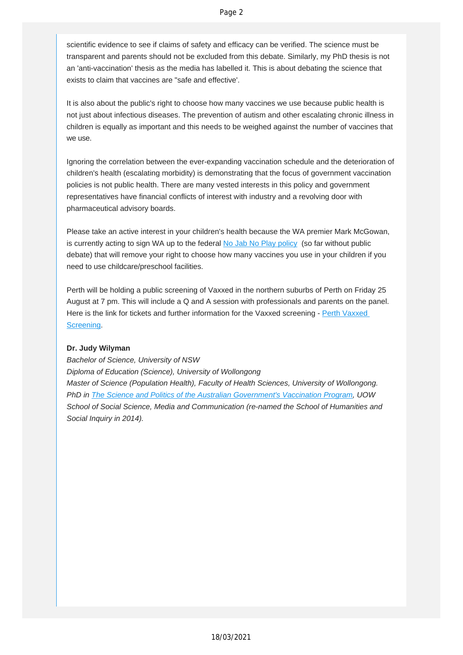scientific evidence to see if claims of safety and efficacy can be verified. The science must be transparent and parents should not be excluded from this debate. Similarly, my PhD thesis is not an 'anti-vaccination' thesis as the media has labelled it. This is about debating the science that exists to claim that vaccines are "safe and effective'.

It is also about the public's right to choose how many vaccines we use because public health is not just about infectious diseases. The prevention of autism and other escalating chronic illness in children is equally as important and this needs to be weighed against the number of vaccines that we use.

Ignoring the correlation between the ever-expanding vaccination schedule and the deterioration of children's health (escalating morbidity) is demonstrating that the focus of government vaccination policies is not public health. There are many vested interests in this policy and government representatives have financial conflicts of interest with industry and a revolving door with pharmaceutical advisory boards.

Please take an active interest in your children's health because the WA premier Mark McGowan, is currently acting to sign WA up to the federal No Jab No Play [policy](http://vaccinationdecisions.us8.list-manage.com/track/click?u=f20605fde3732e41929f4a3f2&id=ba1a011d0d&e=fec8337d3c) (so far without public debate) that will remove your right to choose how many vaccines you use in your children if you need to use childcare/preschool facilities.

Perth will be holding a public screening of Vaxxed in the northern suburbs of Perth on Friday 25 August at 7 pm. This will include a Q and A session with professionals and parents on the panel. Here is the link for tickets and further information for the [Vaxxed](http://vaccinationdecisions.us8.list-manage1.com/track/click?u=f20605fde3732e41929f4a3f2&id=71f0afbd6f&e=fec8337d3c) screening - Perth Vaxxed [Screening.](http://vaccinationdecisions.us8.list-manage1.com/track/click?u=f20605fde3732e41929f4a3f2&id=71f0afbd6f&e=fec8337d3c)

## **Dr. Judy Wilyman**

*Bachelor of Science, University of NSW Diploma of Education (Science), University of Wollongong Master of Science (Population Health), Faculty of Health Sciences, University of Wollongong. PhD in The Science and Politics of the Australian [Government's](http://vaccinationdecisions.us8.list-manage.com/track/click?u=f20605fde3732e41929f4a3f2&id=e78e29b092&e=fec8337d3c) Vaccination Program, UOW School of Social Science, Media and Communication (re-named the School of Humanities and Social Inquiry in 2014).*